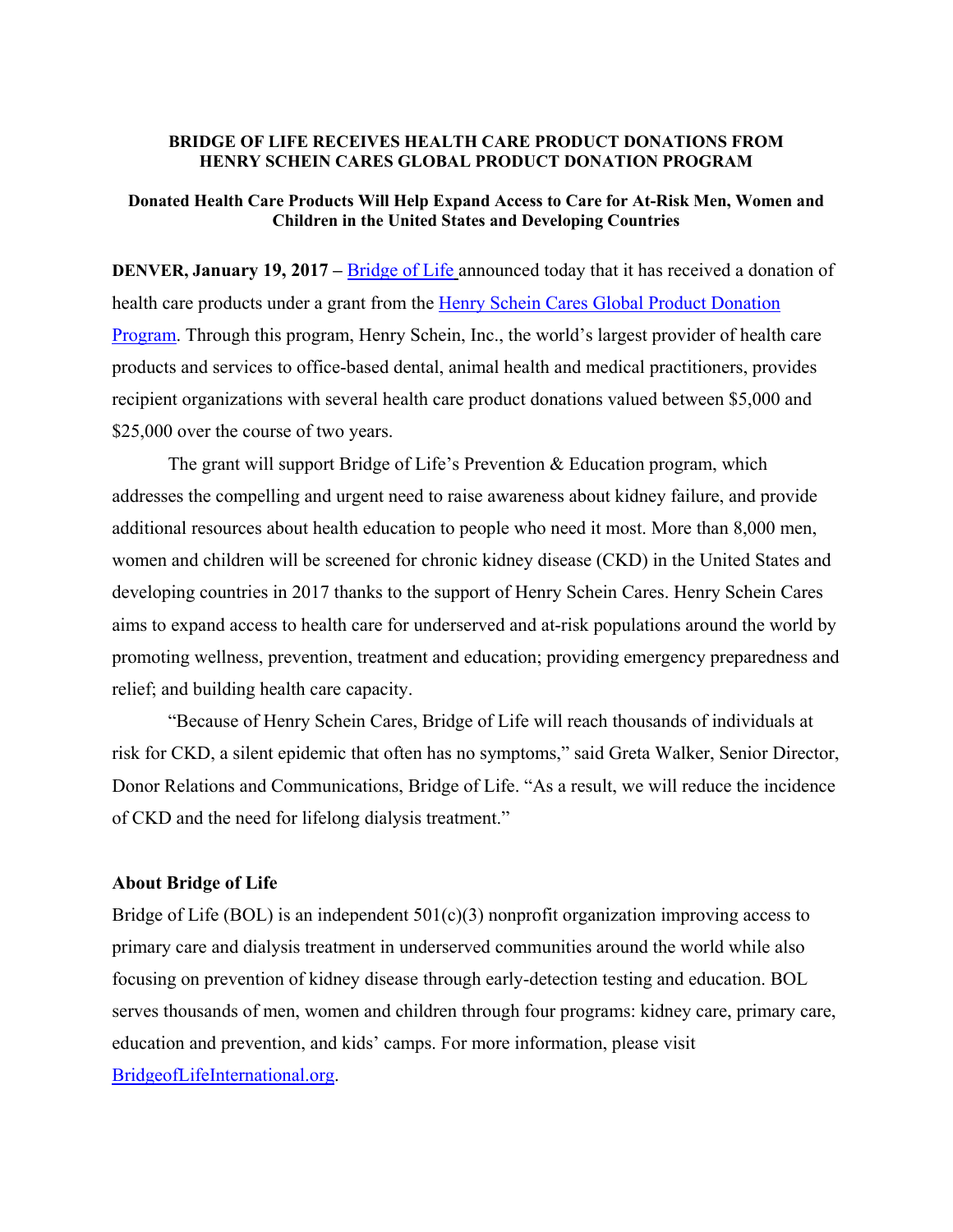## **BRIDGE OF LIFE RECEIVES HEALTH CARE PRODUCT DONATIONS FROM HENRY SCHEIN CARES GLOBAL PRODUCT DONATION PROGRAM**

## **Donated Health Care Products Will Help Expand Access to Care for At-Risk Men, Women and Children in the United States and Developing Countries**

**DENVER, January 19, 2017 – Bridge of Life announced today that it has received a donation of** health care products under a grant from the Henry Schein Cares Global Product Donation Program. Through this program, Henry Schein, Inc., the world's largest provider of health care products and services to office-based dental, animal health and medical practitioners, provides recipient organizations with several health care product donations valued between \$5,000 and \$25,000 over the course of two years.

The grant will support Bridge of Life's Prevention & Education program, which addresses the compelling and urgent need to raise awareness about kidney failure, and provide additional resources about health education to people who need it most. More than 8,000 men, women and children will be screened for chronic kidney disease (CKD) in the United States and developing countries in 2017 thanks to the support of Henry Schein Cares. Henry Schein Cares aims to expand access to health care for underserved and at-risk populations around the world by promoting wellness, prevention, treatment and education; providing emergency preparedness and relief; and building health care capacity.

"Because of Henry Schein Cares, Bridge of Life will reach thousands of individuals at risk for CKD, a silent epidemic that often has no symptoms," said Greta Walker, Senior Director, Donor Relations and Communications, Bridge of Life. "As a result, we will reduce the incidence of CKD and the need for lifelong dialysis treatment."

## **About Bridge of Life**

Bridge of Life (BOL) is an independent  $501(c)(3)$  nonprofit organization improving access to primary care and dialysis treatment in underserved communities around the world while also focusing on prevention of kidney disease through early-detection testing and education. BOL serves thousands of men, women and children through four programs: kidney care, primary care, education and prevention, and kids' camps. For more information, please visit BridgeofLifeInternational.org.